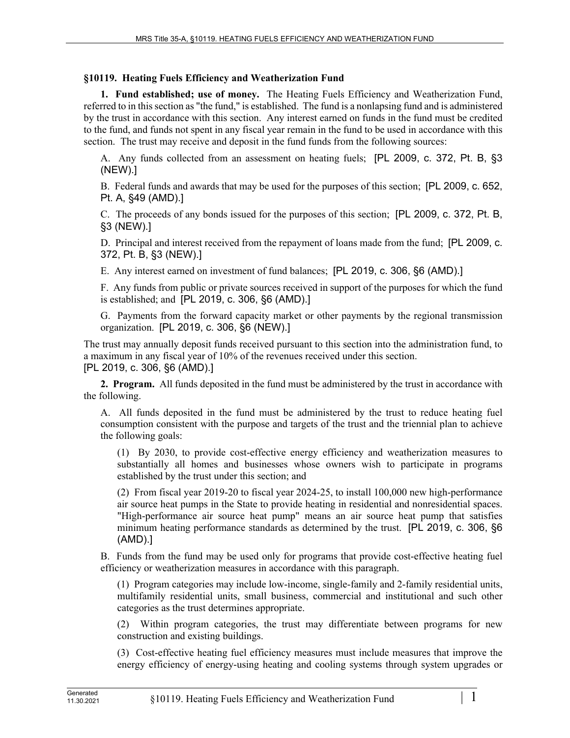## **§10119. Heating Fuels Efficiency and Weatherization Fund**

**1. Fund established; use of money.** The Heating Fuels Efficiency and Weatherization Fund, referred to in this section as "the fund," is established. The fund is a nonlapsing fund and is administered by the trust in accordance with this section. Any interest earned on funds in the fund must be credited to the fund, and funds not spent in any fiscal year remain in the fund to be used in accordance with this section. The trust may receive and deposit in the fund funds from the following sources:

A. Any funds collected from an assessment on heating fuels; [PL 2009, c. 372, Pt. B, §3 (NEW).]

B. Federal funds and awards that may be used for the purposes of this section; [PL 2009, c. 652, Pt. A, §49 (AMD).]

C. The proceeds of any bonds issued for the purposes of this section; [PL 2009, c. 372, Pt. B, §3 (NEW).]

D. Principal and interest received from the repayment of loans made from the fund; [PL 2009, c. 372, Pt. B, §3 (NEW).]

E. Any interest earned on investment of fund balances; [PL 2019, c. 306, §6 (AMD).]

F. Any funds from public or private sources received in support of the purposes for which the fund is established; and [PL 2019, c. 306, §6 (AMD).]

G. Payments from the forward capacity market or other payments by the regional transmission organization. [PL 2019, c. 306, §6 (NEW).]

The trust may annually deposit funds received pursuant to this section into the administration fund, to a maximum in any fiscal year of 10% of the revenues received under this section. [PL 2019, c. 306, §6 (AMD).]

**2. Program.** All funds deposited in the fund must be administered by the trust in accordance with the following.

A. All funds deposited in the fund must be administered by the trust to reduce heating fuel consumption consistent with the purpose and targets of the trust and the triennial plan to achieve the following goals:

(1) By 2030, to provide cost-effective energy efficiency and weatherization measures to substantially all homes and businesses whose owners wish to participate in programs established by the trust under this section; and

(2) From fiscal year 2019-20 to fiscal year 2024-25, to install 100,000 new high-performance air source heat pumps in the State to provide heating in residential and nonresidential spaces. "High-performance air source heat pump" means an air source heat pump that satisfies minimum heating performance standards as determined by the trust. [PL 2019, c. 306, §6 (AMD).]

B. Funds from the fund may be used only for programs that provide cost-effective heating fuel efficiency or weatherization measures in accordance with this paragraph.

(1) Program categories may include low-income, single-family and 2-family residential units, multifamily residential units, small business, commercial and institutional and such other categories as the trust determines appropriate.

(2) Within program categories, the trust may differentiate between programs for new construction and existing buildings.

(3) Cost-effective heating fuel efficiency measures must include measures that improve the energy efficiency of energy-using heating and cooling systems through system upgrades or